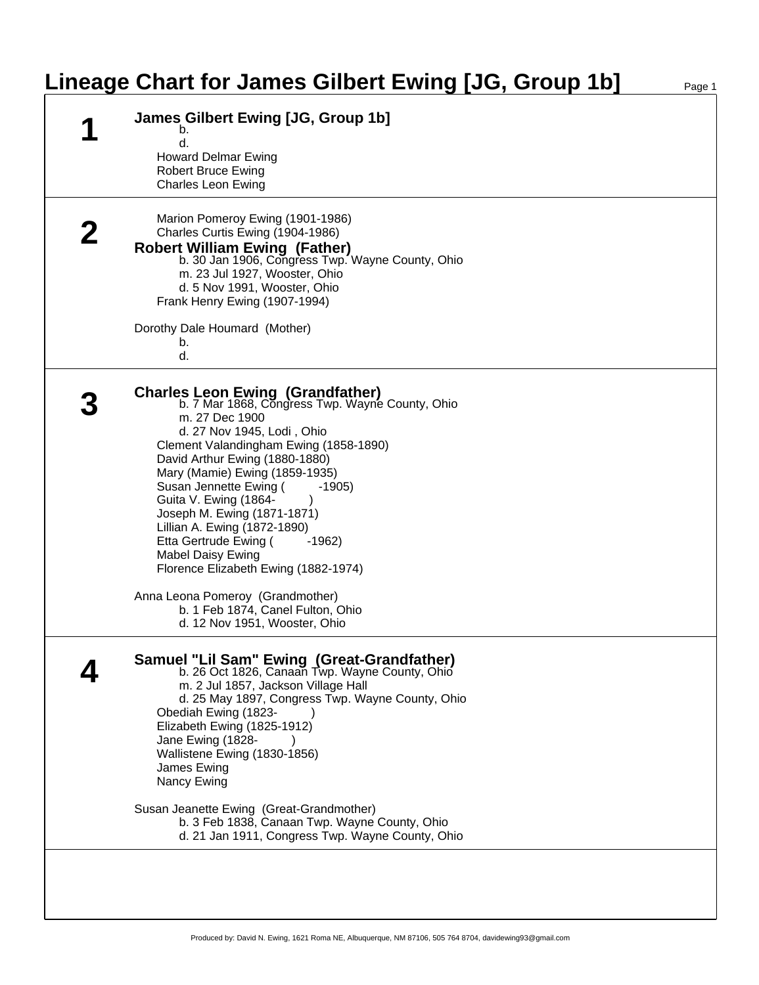## **Lineage Chart for James Gilbert Ewing [JG, Group 1b]**

| James Gilbert Ewing [JG, Group 1b]<br>b.<br>d.<br><b>Howard Delmar Ewing</b>                                                                                                                                                                                                                                                                                                                                                                                                                                                                                                                             |
|----------------------------------------------------------------------------------------------------------------------------------------------------------------------------------------------------------------------------------------------------------------------------------------------------------------------------------------------------------------------------------------------------------------------------------------------------------------------------------------------------------------------------------------------------------------------------------------------------------|
| <b>Robert Bruce Ewing</b><br><b>Charles Leon Ewing</b>                                                                                                                                                                                                                                                                                                                                                                                                                                                                                                                                                   |
| Marion Pomeroy Ewing (1901-1986)<br>Charles Curtis Ewing (1904-1986)<br><b>Robert William Ewing (Father)</b><br>b. 30 Jan 1906, Congress Twp. Wayne County, Ohio<br>m. 23 Jul 1927, Wooster, Ohio<br>d. 5 Nov 1991, Wooster, Ohio<br>Frank Henry Ewing (1907-1994)<br>Dorothy Dale Houmard (Mother)                                                                                                                                                                                                                                                                                                      |
| b.<br>d.                                                                                                                                                                                                                                                                                                                                                                                                                                                                                                                                                                                                 |
| <b>Charles Leon Ewing (Grandfather)</b><br>b. 7 Mar 1868, Congress Twp. Wayne County, Ohio<br>m. 27 Dec 1900<br>d. 27 Nov 1945, Lodi, Ohio<br>Clement Valandingham Ewing (1858-1890)<br>David Arthur Ewing (1880-1880)<br>Mary (Mamie) Ewing (1859-1935)<br>Susan Jennette Ewing (<br>$-1905)$<br>Guita V. Ewing (1864-<br>Joseph M. Ewing (1871-1871)<br>Lillian A. Ewing (1872-1890)<br>Etta Gertrude Ewing (<br>$-1962$<br><b>Mabel Daisy Ewing</b><br>Florence Elizabeth Ewing (1882-1974)<br>Anna Leona Pomeroy (Grandmother)<br>b. 1 Feb 1874, Canel Fulton, Ohio<br>d. 12 Nov 1951, Wooster, Ohio |
| Samuel "Lil Sam" Ewing (Great-Grandfather)<br>b. 26 Oct 1826, Canaan Twp. Wayne County, Ohio<br>m. 2 Jul 1857, Jackson Village Hall<br>d. 25 May 1897, Congress Twp. Wayne County, Ohio<br>Obediah Ewing (1823-<br>Elizabeth Ewing (1825-1912)<br>Jane Ewing (1828-<br>Wallistene Ewing (1830-1856)<br>James Ewing<br>Nancy Ewing                                                                                                                                                                                                                                                                        |
| Susan Jeanette Ewing (Great-Grandmother)<br>b. 3 Feb 1838, Canaan Twp. Wayne County, Ohio<br>d. 21 Jan 1911, Congress Twp. Wayne County, Ohio                                                                                                                                                                                                                                                                                                                                                                                                                                                            |
|                                                                                                                                                                                                                                                                                                                                                                                                                                                                                                                                                                                                          |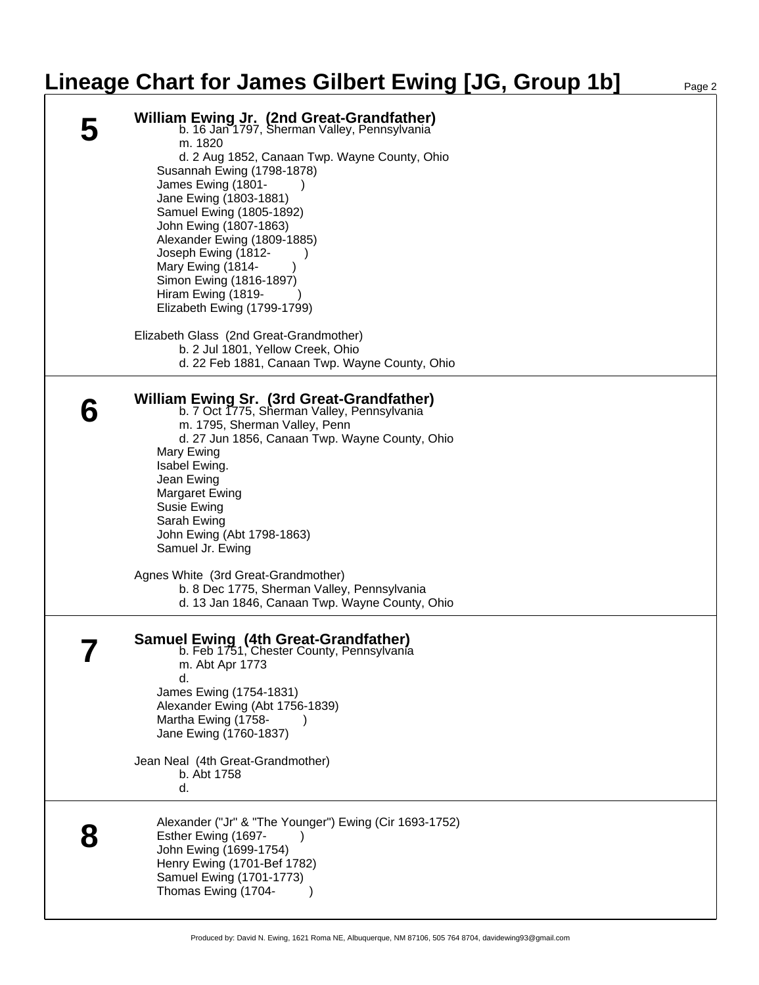## **Lineage Chart for James Gilbert Ewing [JG, Group 1b]**

| <b>William Ewing Jr. (2nd Great-Grandfather)</b><br>b. 16 Jan 1797, Sherman Valley, Pennsylvania<br>m. 1820<br>d. 2 Aug 1852, Canaan Twp. Wayne County, Ohio<br>Susannah Ewing (1798-1878)<br>James Ewing (1801-<br>Jane Ewing (1803-1881)<br>Samuel Ewing (1805-1892)<br>John Ewing (1807-1863)<br>Alexander Ewing (1809-1885)<br>Joseph Ewing (1812-<br>Mary Ewing (1814-<br>Simon Ewing (1816-1897)<br>Hiram Ewing (1819-<br>Elizabeth Ewing (1799-1799) |
|-------------------------------------------------------------------------------------------------------------------------------------------------------------------------------------------------------------------------------------------------------------------------------------------------------------------------------------------------------------------------------------------------------------------------------------------------------------|
| Elizabeth Glass (2nd Great-Grandmother)<br>b. 2 Jul 1801, Yellow Creek, Ohio<br>d. 22 Feb 1881, Canaan Twp. Wayne County, Ohio                                                                                                                                                                                                                                                                                                                              |
| William Ewing Sr. (3rd Great-Grandfather)<br>b. 7 Oct 1775, Sherman Valley, Pennsylvania<br>m. 1795, Sherman Valley, Penn<br>d. 27 Jun 1856, Canaan Twp. Wayne County, Ohio<br>Mary Ewing<br>Isabel Ewing.<br>Jean Ewing<br><b>Margaret Ewing</b><br>Susie Ewing<br>Sarah Ewing<br>John Ewing (Abt 1798-1863)<br>Samuel Jr. Ewing                                                                                                                           |
| Agnes White (3rd Great-Grandmother)<br>b. 8 Dec 1775, Sherman Valley, Pennsylvania<br>d. 13 Jan 1846, Canaan Twp. Wayne County, Ohio                                                                                                                                                                                                                                                                                                                        |
| <b>Samuel Ewing (4th Great-Grandfather)</b><br>b. Feb 1751, Chester County, Pennsylvania<br>m. Abt Apr 1773<br>d.<br>James Ewing (1754-1831)<br>Alexander Ewing (Abt 1756-1839)<br>Martha Ewing (1758-<br>Jane Ewing (1760-1837)<br>Jean Neal (4th Great-Grandmother)<br>b. Abt 1758<br>d.                                                                                                                                                                  |
| Alexander ("Jr" & "The Younger") Ewing (Cir 1693-1752)<br>Esther Ewing (1697-<br>John Ewing (1699-1754)<br>Henry Ewing (1701-Bef 1782)<br>Samuel Ewing (1701-1773)<br>Thomas Ewing (1704-                                                                                                                                                                                                                                                                   |